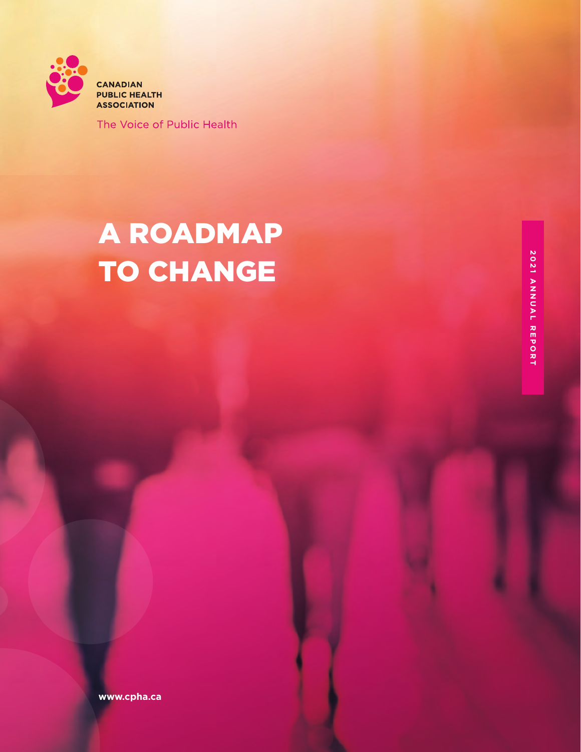

The Voice of Public Health

# A ROADMAP TO CHANGE

**www.cpha.ca**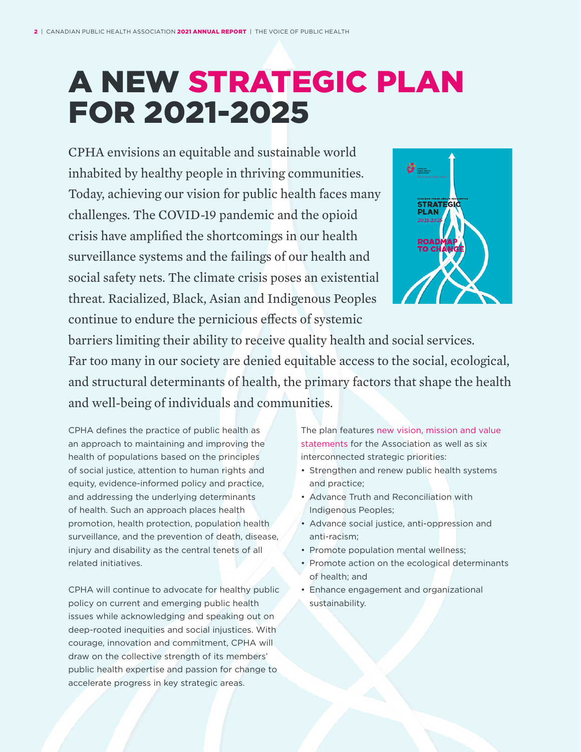# A NEW STRATEGIC PLAN FOR 2021-2025

CPHA envisions an equitable and sustainable world inhabited by healthy people in thriving communities. Today, achieving our vision for public health faces many challenges. The COVID-19 pandemic and the opioid crisis have amplified the shortcomings in our health surveillance systems and the failings of our health and social safety nets. The climate crisis poses an existential threat. Racialized, Black, Asian and Indigenous Peoples continue to endure the pernicious effects of systemic



barriers limiting their ability to receive quality health and social services. Far too many in our society are denied equitable access to the social, ecological, and structural determinants of health, the primary factors that shape the health and well-being of individuals and communities.

CPHA defines the practice of public health as an approach to maintaining and improving the health of populations based on the principles of social justice, attention to human rights and equity, evidence-informed policy and practice, and addressing the underlying determinants of health. Such an approach places health promotion, health protection, population health surveillance, and the prevention of death, disease, injury and disability as the central tenets of all related initiatives.

CPHA will continue to advocate for healthy public policy on current and emerging public health issues while acknowledging and speaking out on deep-rooted inequities and social injustices. With courage, innovation and commitment, CPHA will draw on the collective strength of its members' public health expertise and passion for change to accelerate progress in key strategic areas.

The plan features [new vision, mission and value](https://www.cpha.ca/vision-and-mission)  [statements](https://www.cpha.ca/vision-and-mission) for the Association as well as six interconnected strategic priorities:

- • Strengthen and renew public health systems and practice;
- Advance Truth and Reconciliation with Indigenous Peoples;
- Advance social justice, anti-oppression and anti-racism;
- Promote population mental wellness;
- Promote action on the ecological determinants of health; and
- • Enhance engagement and organizational sustainability.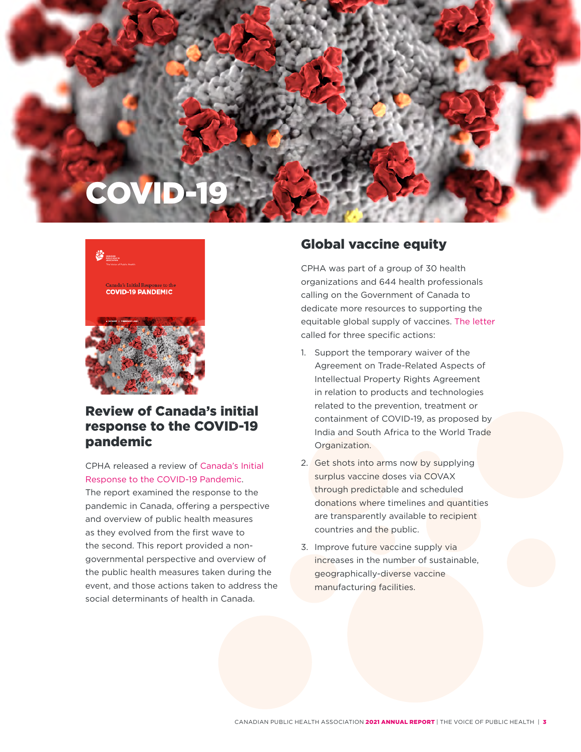## COVD-



#### Review of Canada's initial response to the COVID-19 pandemic

CPHA released a review of [Canada's Initial](https://www.cpha.ca/review-canadas-initial-response-covid-19-pandemic)  Response to the COVID-19 [Pandemic](https://www.cpha.ca/review-canadas-initial-response-covid-19-pandemic).

The report examined the response to the pandemic in Canada, offering a perspective and overview of public health measures as they evolved from the first wave to the second. This report provided a nongovernmental perspective and overview of the public health measures taken during the event, and those actions taken to address the social determinants of health in Canada.

#### Global vaccine equity

CPHA was part of a group of 30 health organizations and 644 health professionals calling on the Government of Canada to dedicate more resources to supporting the equitable global supply of vaccines. [The letter](https://www.cpha.ca/open-letter-prime-minister-global-vaccine-equity)  called for three specific actions:

- 1. Support the temporary waiver of the Agreement on Trade-Related Aspects of Intellectual Property Rights Agreement in relation to products and technologies related to the prevention, treatment or containment of COVID-19, as proposed by India and South Africa to the World Trade Organization.
- 2. Get shots into arms now by supplying surplus vaccine doses via COVAX through predictable and scheduled donations where timelines and quantities are transparently available to recipient countries and the public.
- 3. Improve future vaccine supply via increases in the number of sustainable, geographically-diverse vaccine manufacturing facilities.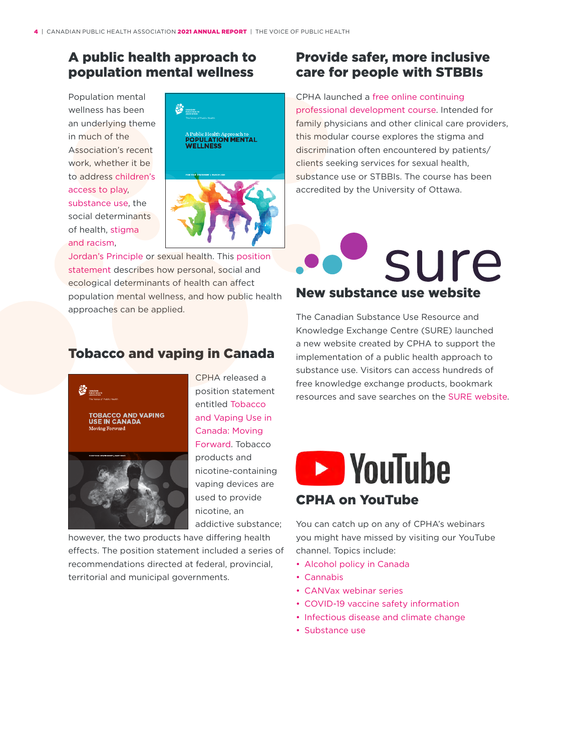#### A public health approach to population mental wellness

Population mental wellness has been an underlying theme in much of the Association's recent work, whether it be to address [children's](https://www.cpha.ca/childrens-unstructured-play)  [access to play](https://www.cpha.ca/childrens-unstructured-play), [substance use](https://www.cpha.ca/decriminalization-personal-use-psychoactive-substances), the social determinants of health, [stigma](https://www.cpha.ca/racism-and-public-health)  [and racism,](https://www.cpha.ca/racism-and-public-health)



[Jordan's Principle](https://www.cpha.ca/jordans-principle-and-public-health) or sexual health. This [position](https://www.cpha.ca/public-health-approach-population-mental-wellness)  [statement](https://www.cpha.ca/public-health-approach-population-mental-wellness) describes how personal, social and ecological determinants of health can affect population mental wellness, and how public health approaches can be applied.

#### Provide safer, more inclusive care for people with STBBIs

CPHA launched a [free online continuing](https://learning.cpha.ca/course/index.php?categoryid=13)  [professional development course.](https://learning.cpha.ca/course/index.php?categoryid=13) Intended for family physicians and other clinical care providers, this modular course explores the stigma and discrimination often encountered by patients/ clients seeking services for sexual health, substance use or STBBIs. The course has been accredited by the University of Ottawa.



The Canadian Substance Use Resource and Knowledge Exchange Centre (SURE) launched a new website created by CPHA to support the implementation of a public health approach to substance use. Visitors can access hundreds of free knowledge exchange products, bookmark resources and save searches on the SURE [website](https://substanceuse.ca/).





CPHA released a position statement entitled [Tobacco](https://www.cpha.ca/tobacco-and-vaping-use-canada-moving-forward)  and [Vaping](https://www.cpha.ca/tobacco-and-vaping-use-canada-moving-forward) Use in [Canada: Moving](https://www.cpha.ca/tobacco-and-vaping-use-canada-moving-forward)  [Forward](https://www.cpha.ca/tobacco-and-vaping-use-canada-moving-forward). Tobacco products and nicotine-containing vaping devices are used to provide nicotine, an addictive substance;

however, the two products have differing health effects. The position statement included a series of recommendations directed at federal, provincial, territorial and municipal governments.

### **EXP** YouTube CPHA on YouTube

You can catch up on any of CPHA's webinars you might have missed by visiting our YouTube channel. Topics include:

- Alcohol policy in Canada
- • [Cannabis](https://www.youtube.com/playlist?list=PLhwO2PjX7LDfQlcZn2mG_ERKjLFLbi2RX)
- [CANVax](https://www.youtube.com/playlist?list=PLhwO2PjX7LDdaGQ45QDlDLAa-J_1w69QL) webinar series
- COVID-19 vaccine safety [information](https://www.youtube.com/playlist?list=PLhwO2PjX7LDelQSLodJDsaGy4aDKewzGa)
- Infectious disease and climate change
- [Substance use](https://www.youtube.com/playlist?list=PLhwO2PjX7LDelBImym9fAMPW0J_NixO4I)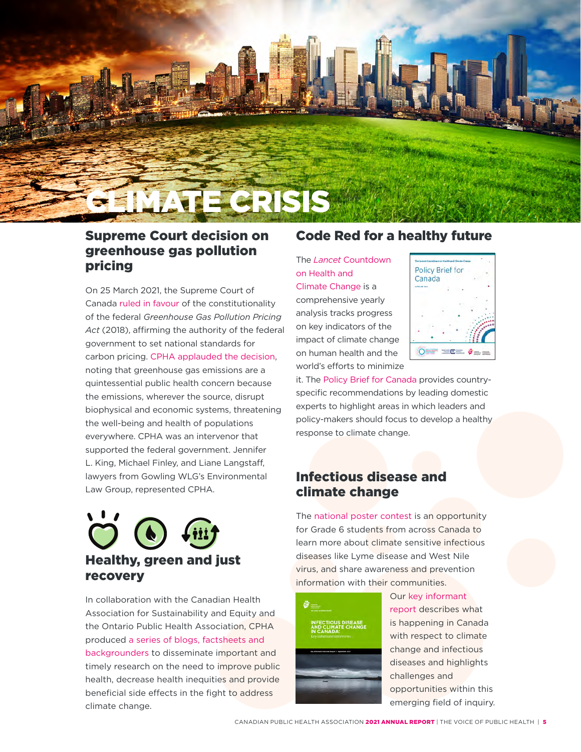

#### Supreme Court decision on greenhouse gas pollution pricing

On 25 March 2021, the Supreme Court of Canada [ruled in favour](https://www.scc-csc.ca/case-dossier/cb/2021/38663-38781-39116-eng.aspx) of the constitutionality of the federal *Greenhouse Gas Pollution Pricing Act* (2018), affirming the authority of the federal government to set national standards for carbon pricing. [CPHA applauded the decision,](https://www.cpha.ca/public-health-applauds-supreme-court-decision-greenhouse-gas-pollution-pricing) noting that greenhouse gas emissions are a quintessential public health concern because the emissions, wherever the source, disrupt biophysical and economic systems, threatening the well-being and health of populations everywhere. CPHA was an intervenor that supported the federal government. Jennifer L. King, Michael Finley, and Liane Langstaff, lawyers from Gowling WLG's Environmental Law Group, represented CPHA.

# Healthy, green and just recovery

In collaboration with the Canadian Health Association for Sustainability and Equity and the Ontario Public Health Association, CPHA produced [a series of blogs, factsheets and](https://www.cpha.ca/resources?topic=170)  [backgrounders](https://www.cpha.ca/resources?topic=170) to disseminate important and timely research on the need to improve public health, decrease health inequities and provide beneficial side effects in the fight to address climate change.

#### Code Red for a healthy future

The *Lancet* [Countdown](https://www.thelancet.com/journals/lancet/article/PIIS0140-6736(21)01787-6/fulltext)  [on Health and](https://www.thelancet.com/journals/lancet/article/PIIS0140-6736(21)01787-6/fulltext) 

[Climate Change](https://www.thelancet.com/journals/lancet/article/PIIS0140-6736(21)01787-6/fulltext) is a comprehensive yearly analysis tracks progress on key indicators of the impact of climate change on human health and the world's efforts to minimize



it. The [Policy Brief for Canada p](https://www.cpha.ca/sites/default/files/uploads/advocacy/2021_lancet/2021_Lancet_Countdown_Canada_Policy_Brief_e.pdf)rovides countryspecific recommendations by leading domestic experts to highlight areas in which leaders and policy-makers should focus to develop a healthy response to climate change.

#### Infectious disease and climate change

The [national poster contest](https://www.cpha.ca/contest) is an opportunity for Grade 6 students from across Canada to learn more about climate sensitive infectious diseases like Lyme disease and West Nile virus, and share awareness and prevention information with their communities.

[report](https://www.cpha.ca/sites/default/files/uploads/resources/idcc/CPHA_IDCC_Key_informant_interviews.pdf) describes what is happening in Canada with respect to climate change and infectious diseases and highlights challenges and opportunities within this emerging field of inquiry.

Our [key informant](https://www.cpha.ca/sites/default/files/uploads/resources/idcc/CPHA_IDCC_Key_informant_interviews.pdf)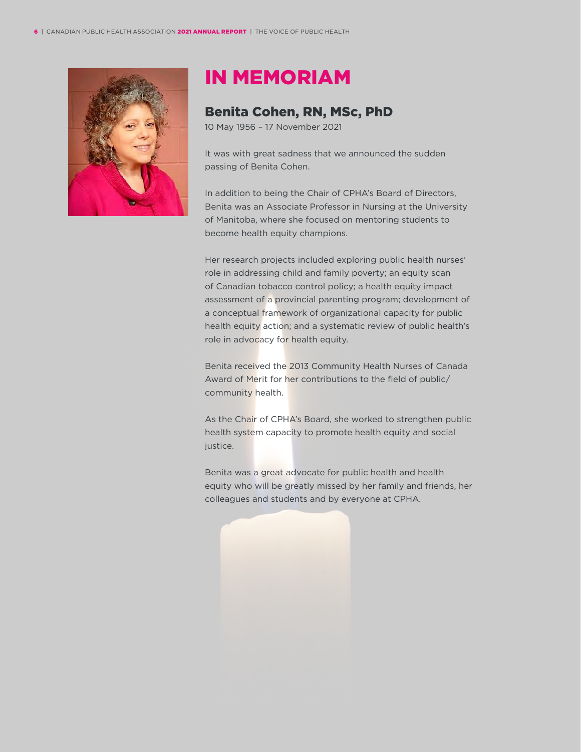

### IN MEMORIAM

#### Benita Cohen, RN, MSc, PhD

10 May 1956 – 17 November 2021

It was with great sadness that we announced the sudden passing of Benita Cohen.

In addition to being the Chair of CPHA's Board of Directors, Benita was an Associate Professor in Nursing at the University of Manitoba, where she focused on mentoring students to become health equity champions.

Her research projects included exploring public health nurses' role in addressing child and family poverty; an equity scan of Canadian tobacco control policy; a health equity impact assessment of a provincial parenting program; development of a conceptual framework of organizational capacity for public health equity action; and a systematic review of public health's role in advocacy for health equity.

Benita received the 2013 Community Health Nurses of Canada Award of Merit for her contributions to the field of public/ community health.

As the Chair of CPHA's Board, she worked to strengthen public health system capacity to promote health equity and social justice.

Benita was a great advocate for public health and health equity who will be greatly missed by her family and friends, her colleagues and students and by everyone at CPHA.

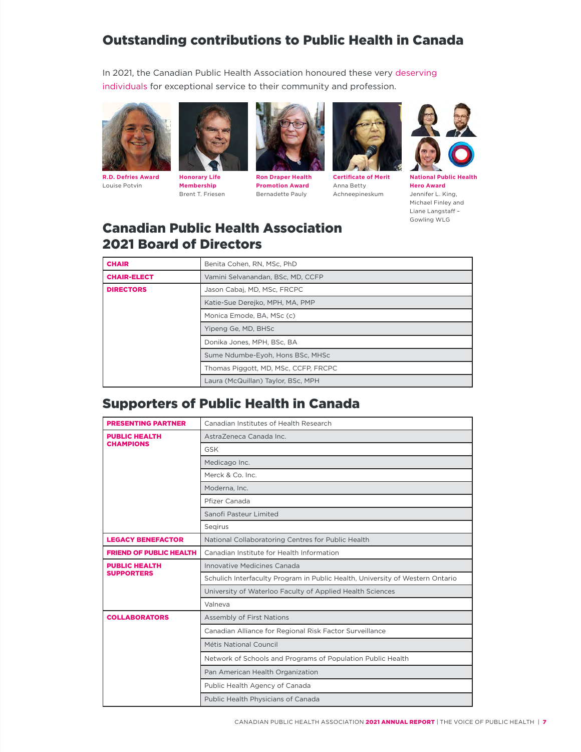### Outstanding contributions to Public Health in Canada

In 2021, the Canadian Public Health Association honoured these very [deserving](https://www.cpha.ca/award-recipients)  [individuals](https://www.cpha.ca/award-recipients) for exceptional service to their community and profession.



**R.D. Defries Award** Louise Potvin



**Membership** Brent T. Friesen



**Ron Draper Health Promotion Award** Bernadette Pauly



**Certificate of Merit** Anna Betty Achneepineskum



**National Public Health Hero Award** Jennifer L. King, Michael Finley and Liane Langstaff – Gowling WLG

#### Canadian Public Health Association 2021 Board of Directors

| <b>CHAIR</b>       | Benita Cohen, RN, MSc, PhD           |
|--------------------|--------------------------------------|
| <b>CHAIR-ELECT</b> | Vamini Selvanandan, BSc, MD, CCFP    |
| <b>DIRECTORS</b>   | Jason Cabaj, MD, MSc, FRCPC          |
|                    | Katie-Sue Derejko, MPH, MA, PMP      |
|                    | Monica Emode, BA, MSc (c)            |
|                    | Yipeng Ge, MD, BHSc                  |
|                    | Donika Jones, MPH, BSc, BA           |
|                    | Sume Ndumbe-Eyoh, Hons BSc, MHSc     |
|                    | Thomas Piggott, MD, MSc, CCFP, FRCPC |
|                    | Laura (McQuillan) Taylor, BSc, MPH   |

#### Supporters of Public Health in Canada

| <b>PRESENTING PARTNER</b>                 | Canadian Institutes of Health Research                                        |
|-------------------------------------------|-------------------------------------------------------------------------------|
| <b>PUBLIC HEALTH</b><br><b>CHAMPIONS</b>  | AstraZeneca Canada Inc.                                                       |
|                                           | <b>GSK</b>                                                                    |
|                                           | Medicago Inc.                                                                 |
|                                           | Merck & Co. Inc.                                                              |
|                                           | Moderna, Inc.                                                                 |
|                                           | Pfizer Canada                                                                 |
|                                           | Sanofi Pasteur Limited                                                        |
|                                           | Segirus                                                                       |
| <b>LEGACY BENEFACTOR</b>                  | National Collaboratoring Centres for Public Health                            |
| <b>FRIEND OF PUBLIC HEALTH</b>            | Canadian Institute for Health Information                                     |
| <b>PUBLIC HEALTH</b><br><b>SUPPORTERS</b> | Innovative Medicines Canada                                                   |
|                                           | Schulich Interfaculty Program in Public Health, University of Western Ontario |
|                                           | University of Waterloo Faculty of Applied Health Sciences                     |
|                                           | Valneva                                                                       |
| <b>COLLABORATORS</b>                      | Assembly of First Nations                                                     |
|                                           | Canadian Alliance for Regional Risk Factor Surveillance                       |
|                                           | <b>Métis National Council</b>                                                 |
|                                           | Network of Schools and Programs of Population Public Health                   |
|                                           | Pan American Health Organization                                              |
|                                           | Public Health Agency of Canada                                                |
|                                           | Public Health Physicians of Canada                                            |